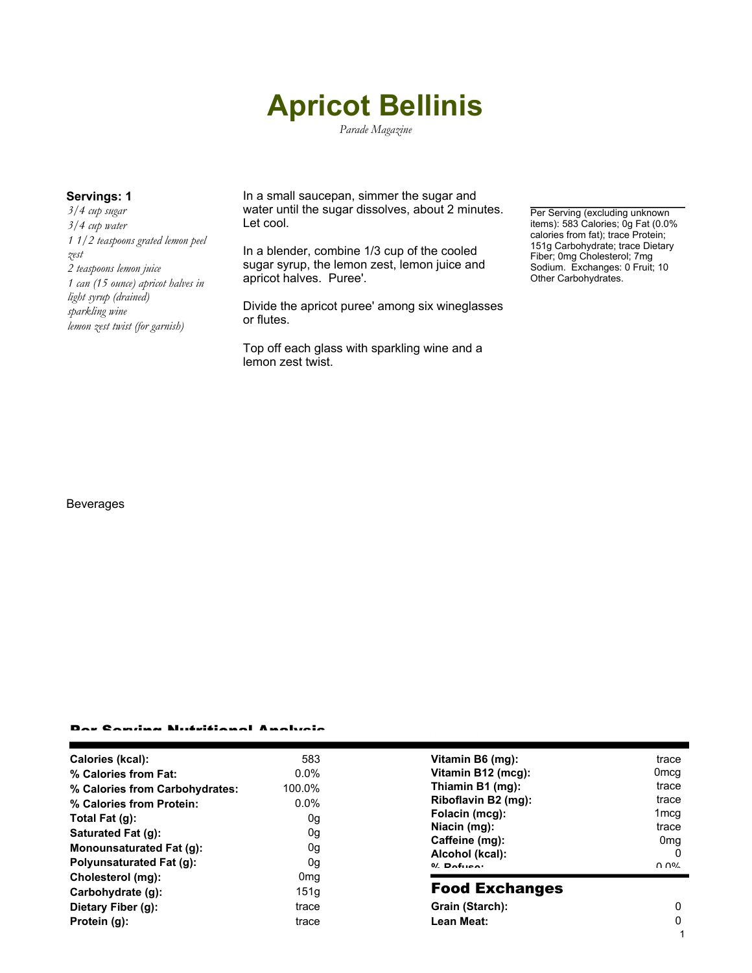# **Apricot Bellinis**

*Parade Magazine*

*3/4 cup sugar 3/4 cup water 1 1/2 teaspoons grated lemon peel zest 2 teaspoons lemon juice 1 can (15 ounce) apricot halves in light syrup (drained) sparkling wine lemon zest twist (for garnish)*

**Servings: 1** In a small saucepan, simmer the sugar and water until the sugar dissolves, about 2 minutes. Let cool.

> In a blender, combine 1/3 cup of the cooled sugar syrup, the lemon zest, lemon juice and apricot halves. Puree'.

Divide the apricot puree' among six wineglasses or flutes.

Top off each glass with sparkling wine and a lemon zest twist.

Per Serving (excluding unknown items): 583 Calories; Og Fat (0.0% calories from fat); trace Protein; 151g Carbohydrate; trace Dietary Fiber; 0mg Cholesterol; 7mg Sodium. Exchanges: 0 Fruit; 10 Other Carbohydrates.

### Beverages

## Per Serving Nutritional Analysis

| Calories (kcal):                | 583             | Vitamin B6 (mg):      | trace                                 |
|---------------------------------|-----------------|-----------------------|---------------------------------------|
| % Calories from Fat:            | $0.0\%$         | Vitamin B12 (mcg):    | 0 <sub>mcq</sub>                      |
| % Calories from Carbohydrates:  | 100.0%          | Thiamin B1 (mg):      | trace                                 |
| % Calories from Protein:        | $0.0\%$         | Riboflavin B2 (mg):   | trace                                 |
| Total Fat (g):                  | 0g              | Folacin (mcg):        | 1 <sub>mcq</sub>                      |
| Saturated Fat (q):              | 0g              | Niacin (mg):          | trace                                 |
| Monounsaturated Fat (g):        |                 | Caffeine (mg):        | 0 <sub>mq</sub>                       |
|                                 | 0g              | Alcohol (kcal):       | 0                                     |
| <b>Polyunsaturated Fat (g):</b> | 0g              | $0/2$ Pofileon        | $\Omega$ $\Omega$ <sup>o</sup> $\sim$ |
| Cholesterol (mg):               | 0 <sub>mq</sub> |                       |                                       |
| Carbohydrate (g):               | 151q            | <b>Food Exchanges</b> |                                       |
| Dietary Fiber (g):              | trace           | Grain (Starch):       | 0                                     |
| Protein (g):                    | trace           | Lean Meat:            | 0                                     |
|                                 |                 |                       |                                       |